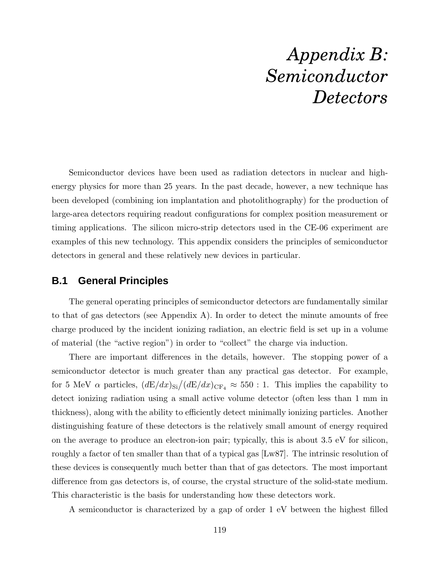## *Appendix B: Semiconductor Detectors*

Semiconductor devices have been used as radiation detectors in nuclear and highenergy physics for more than 25 years. In the past decade, however, a new technique has been developed (combining ion implantation and photolithography) for the production of large-area detectors requiring readout configurations for complex position measurement or timing applications. The silicon micro-strip detectors used in the CE-06 experiment are examples of this new technology. This appendix considers the principles of semiconductor detectors in general and these relatively new devices in particular.

## **B.1 General Principles**

The general operating principles of semiconductor detectors are fundamentally similar to that of gas detectors (see Appendix A). In order to detect the minute amounts of free charge produced by the incident ionizing radiation, an electric field is set up in a volume of material (the "active region") in order to "collect" the charge via induction.

There are important differences in the details, however. The stopping power of a semiconductor detector is much greater than any practical gas detector. For example, for 5 MeV  $\alpha$  particles,  $(dE/dx)_{Si}/(dE/dx)_{CF_4} \approx 550$  : 1. This implies the capability to detect ionizing radiation using a small active volume detector (often less than 1 mm in thickness), along with the ability to efficiently detect minimally ionizing particles. Another distinguishing feature of these detectors is the relatively small amount of energy required on the average to produce an electron-ion pair; typically, this is about 3.5 eV for silicon, roughly a factor of ten smaller than that of a typical gas [Lw87]. The intrinsic resolution of these devices is consequently much better than that of gas detectors. The most important difference from gas detectors is, of course, the crystal structure of the solid-state medium. This characteristic is the basis for understanding how these detectors work.

A semiconductor is characterized by a gap of order 1 eV between the highest filled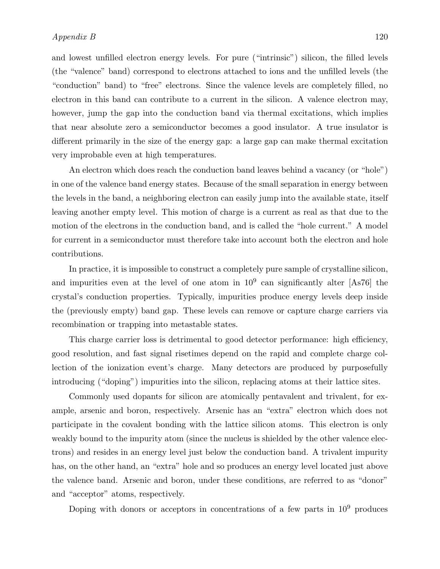and lowest unfilled electron energy levels. For pure ("intrinsic") silicon, the filled levels (the "valence" band) correspond to electrons attached to ions and the unfilled levels (the "conduction" band) to "free" electrons. Since the valence levels are completely filled, no electron in this band can contribute to a current in the silicon. A valence electron may, however, jump the gap into the conduction band via thermal excitations, which implies that near absolute zero a semiconductor becomes a good insulator. A true insulator is different primarily in the size of the energy gap: a large gap can make thermal excitation very improbable even at high temperatures.

An electron which does reach the conduction band leaves behind a vacancy (or "hole") in one of the valence band energy states. Because of the small separation in energy between the levels in the band, a neighboring electron can easily jump into the available state, itself leaving another empty level. This motion of charge is a current as real as that due to the motion of the electrons in the conduction band, and is called the "hole current." A model for current in a semiconductor must therefore take into account both the electron and hole contributions.

In practice, it is impossible to construct a completely pure sample of crystalline silicon, and impurities even at the level of one atom in  $10^9$  can significantly alter [As76] the crystal's conduction properties. Typically, impurities produce energy levels deep inside the (previously empty) band gap. These levels can remove or capture charge carriers via recombination or trapping into metastable states.

This charge carrier loss is detrimental to good detector performance: high efficiency, good resolution, and fast signal risetimes depend on the rapid and complete charge collection of the ionization event's charge. Many detectors are produced by purposefully introducing ("doping") impurities into the silicon, replacing atoms at their lattice sites.

Commonly used dopants for silicon are atomically pentavalent and trivalent, for example, arsenic and boron, respectively. Arsenic has an "extra" electron which does not participate in the covalent bonding with the lattice silicon atoms. This electron is only weakly bound to the impurity atom (since the nucleus is shielded by the other valence electrons) and resides in an energy level just below the conduction band. A trivalent impurity has, on the other hand, an "extra" hole and so produces an energy level located just above the valence band. Arsenic and boron, under these conditions, are referred to as "donor" and "acceptor" atoms, respectively.

Doping with donors or acceptors in concentrations of a few parts in  $10^9$  produces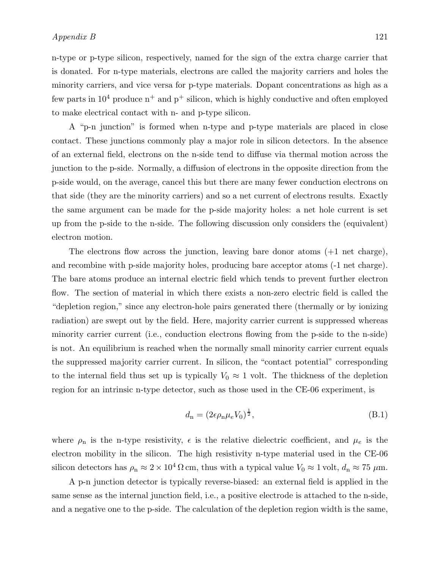n-type or p-type silicon, respectively, named for the sign of the extra charge carrier that is donated. For n-type materials, electrons are called the majority carriers and holes the minority carriers, and vice versa for p-type materials. Dopant concentrations as high as a few parts in  $10^4$  produce  $n^+$  and  $p^+$  silicon, which is highly conductive and often employed to make electrical contact with n- and p-type silicon.

A "p-n junction" is formed when n-type and p-type materials are placed in close contact. These junctions commonly play a major role in silicon detectors. In the absence of an external field, electrons on the n-side tend to diffuse via thermal motion across the junction to the p-side. Normally, a diffusion of electrons in the opposite direction from the p-side would, on the average, cancel this but there are many fewer conduction electrons on that side (they are the minority carriers) and so a net current of electrons results. Exactly the same argument can be made for the p-side majority holes: a net hole current is set up from the p-side to the n-side. The following discussion only considers the (equivalent) electron motion.

The electrons flow across the junction, leaving bare donor atoms (+1 net charge), and recombine with p-side majority holes, producing bare acceptor atoms (-1 net charge). The bare atoms produce an internal electric field which tends to prevent further electron flow. The section of material in which there exists a non-zero electric field is called the "depletion region," since any electron-hole pairs generated there (thermally or by ionizing radiation) are swept out by the field. Here, majority carrier current is suppressed whereas minority carrier current (i.e., conduction electrons flowing from the p-side to the n-side) is not. An equilibrium is reached when the normally small minority carrier current equals the suppressed majority carrier current. In silicon, the "contact potential" corresponding to the internal field thus set up is typically  $V_0 \approx 1$  volt. The thickness of the depletion region for an intrinsic n-type detector, such as those used in the CE-06 experiment, is

$$
d_{\mathbf{n}} = (2\epsilon \rho_{\mathbf{n}} \mu_e V_0)^{\frac{1}{2}},\tag{B.1}
$$

where  $\rho_n$  is the n-type resistivity,  $\epsilon$  is the relative dielectric coefficient, and  $\mu_e$  is the electron mobility in the silicon. The high resistivity n-type material used in the CE-06 silicon detectors has  $\rho_n \approx 2 \times 10^4 \Omega \text{ cm}$ , thus with a typical value  $V_0 \approx 1$  volt,  $d_n \approx 75 \mu \text{m}$ .

A p-n junction detector is typically reverse-biased: an external field is applied in the same sense as the internal junction field, i.e., a positive electrode is attached to the n-side, and a negative one to the p-side. The calculation of the depletion region width is the same,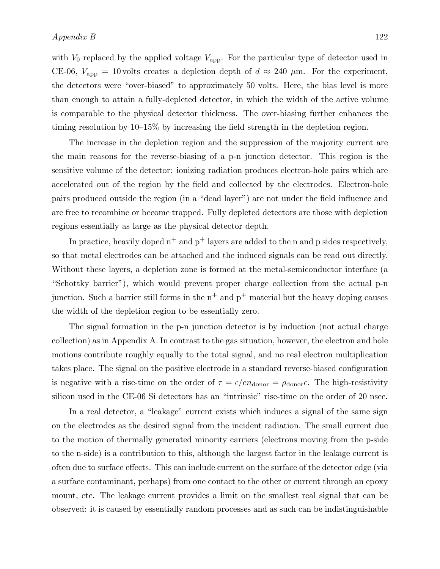with  $V_0$  replaced by the applied voltage  $V_{\rm app}$ . For the particular type of detector used in CE-06,  $V_{\text{app}} = 10$  volts creates a depletion depth of  $d \approx 240 \mu \text{m}$ . For the experiment, the detectors were "over-biased" to approximately 50 volts. Here, the bias level is more than enough to attain a fully-depleted detector, in which the width of the active volume is comparable to the physical detector thickness. The over-biasing further enhances the timing resolution by 10–15% by increasing the field strength in the depletion region.

The increase in the depletion region and the suppression of the majority current are the main reasons for the reverse-biasing of a p-n junction detector. This region is the sensitive volume of the detector: ionizing radiation produces electron-hole pairs which are accelerated out of the region by the field and collected by the electrodes. Electron-hole pairs produced outside the region (in a "dead layer") are not under the field influence and are free to recombine or become trapped. Fully depleted detectors are those with depletion regions essentially as large as the physical detector depth.

In practice, heavily doped  $n^+$  and  $p^+$  layers are added to the n and p sides respectively. so that metal electrodes can be attached and the induced signals can be read out directly. Without these layers, a depletion zone is formed at the metal-semiconductor interface (a "Schottky barrier"), which would prevent proper charge collection from the actual p-n junction. Such a barrier still forms in the  $n^+$  and  $p^+$  material but the heavy doping causes the width of the depletion region to be essentially zero.

The signal formation in the p-n junction detector is by induction (not actual charge collection) as in Appendix A. In contrast to the gas situation, however, the electron and hole motions contribute roughly equally to the total signal, and no real electron multiplication takes place. The signal on the positive electrode in a standard reverse-biased configuration is negative with a rise-time on the order of  $\tau = \epsilon / en_{\text{donor}} = \rho_{\text{donor}} \epsilon$ . The high-resistivity silicon used in the CE-06 Si detectors has an "intrinsic" rise-time on the order of 20 nsec.

In a real detector, a "leakage" current exists which induces a signal of the same sign on the electrodes as the desired signal from the incident radiation. The small current due to the motion of thermally generated minority carriers (electrons moving from the p-side to the n-side) is a contribution to this, although the largest factor in the leakage current is often due to surface effects. This can include current on the surface of the detector edge (via a surface contaminant, perhaps) from one contact to the other or current through an epoxy mount, etc. The leakage current provides a limit on the smallest real signal that can be observed: it is caused by essentially random processes and as such can be indistinguishable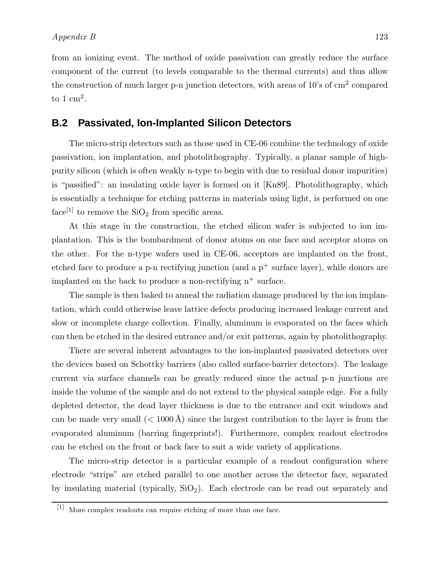from an ionizing event. The method of oxide passivation can greatly reduce the surface component of the current (to levels comparable to the thermal currents) and thus allow the construction of much larger p-n junction detectors, with areas of 10's of cm<sup>2</sup> compared to  $1 \text{ cm}^2$ .

## **B.2 Passivated, Ion-Implanted Silicon Detectors**

The micro-strip detectors such as those used in CE-06 combine the technology of oxide passivation, ion implantation, and photolithography. Typically, a planar sample of highpurity silicon (which is often weakly n-type to begin with due to residual donor impurities) is "passified": an insulating oxide layer is formed on it [Kn89]. Photolithography, which is essentially a technique for etching patterns in materials using light, is performed on one face<sup>[1]</sup> to remove the  $SiO<sub>2</sub>$  from specific areas.

At this stage in the construction, the etched silicon wafer is subjected to ion implantation. This is the bombardment of donor atoms on one face and acceptor atoms on the other. For the n-type wafers used in CE-06, acceptors are implanted on the front, etched face to produce a p-n rectifying junction (and a  $p^+$  surface layer), while donors are implanted on the back to produce a non-rectifying  $n^+$  surface.

The sample is then baked to anneal the radiation damage produced by the ion implantation, which could otherwise leave lattice defects producing increased leakage current and slow or incomplete charge collection. Finally, aluminum is evaporated on the faces which can then be etched in the desired entrance and/or exit patterns, again by photolithography.

There are several inherent advantages to the ion-implanted passivated detectors over the devices based on Schottky barriers (also called surface-barrier detectors). The leakage current via surface channels can be greatly reduced since the actual p-n junctions are inside the volume of the sample and do not extend to the physical sample edge. For a fully depleted detector, the dead layer thickness is due to the entrance and exit windows and can be made very small  $(< 1000 \text{ Å})$  since the largest contribution to the layer is from the evaporated aluminum (barring fingerprints!). Furthermore, complex readout electrodes can be etched on the front or back face to suit a wide variety of applications.

The micro-strip detector is a particular example of a readout configuration where electrode "strips" are etched parallel to one another across the detector face, separated by insulating material (typically,  $SiO<sub>2</sub>$ ). Each electrode can be read out separately and

<sup>[1]</sup> More complex readouts can require etching of more than one face.